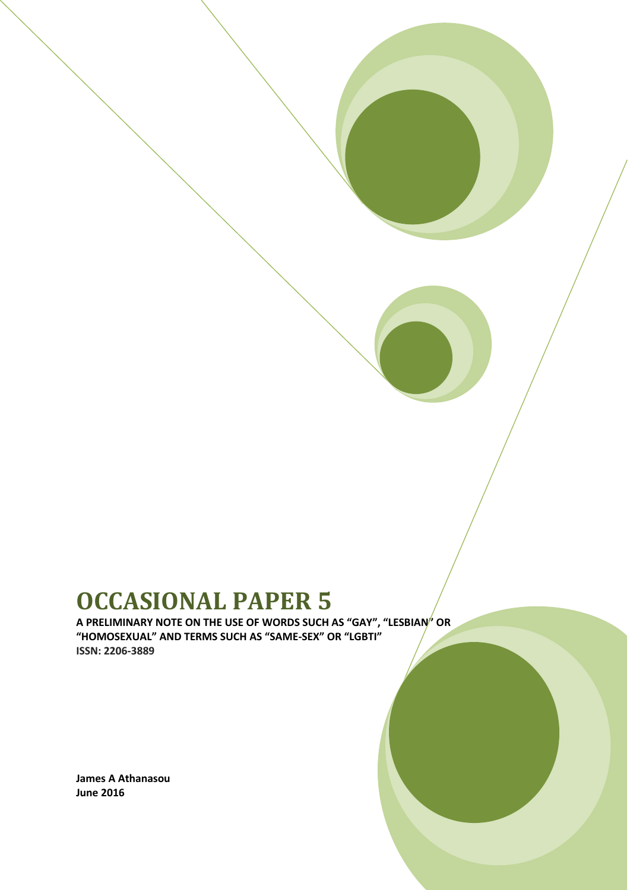# **OCCASIONAL PAPER 5**

**A PRELIMINARY NOTE ON THE USE OF WORDS SUCH AS "GAY", "LESBIAN" OR "HOMOSEXUAL" AND TERMS SUCH AS "SAME-SEX" OR "LGBTI" ISSN: 2206-3889**

**James A Athanasou June 2016**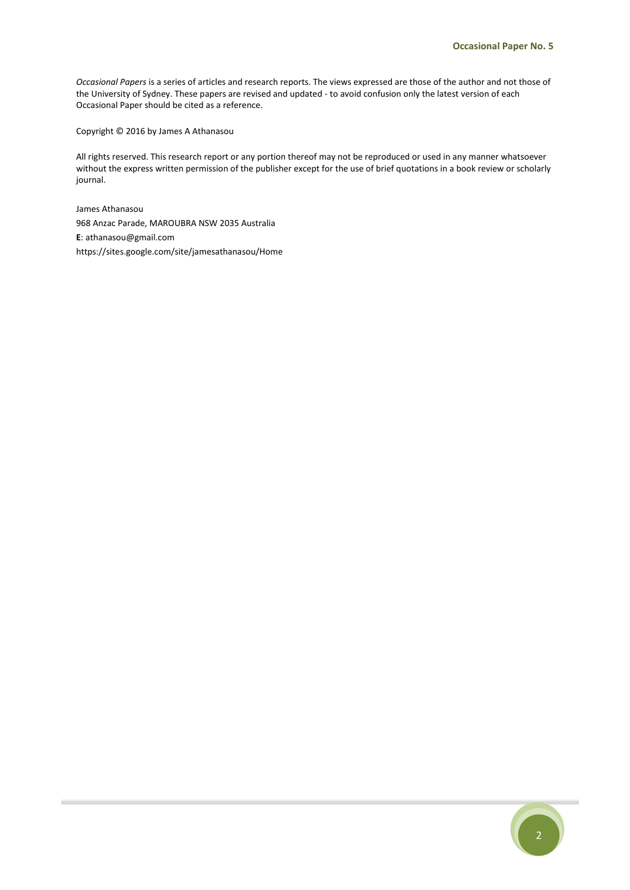*Occasional Papers* is a series of articles and research reports. The views expressed are those of the author and not those of the University of Sydney. These papers are revised and updated - to avoid confusion only the latest version of each Occasional Paper should be cited as a reference.

Copyright © 2016 by James A Athanasou

All rights reserved. This research report or any portion thereof may not be reproduced or used in any manner whatsoever without the express written permission of the publisher except for the use of brief quotations in a book review or scholarly journal.

James Athanasou 968 Anzac Parade, MAROUBRA NSW 2035 Australia **E**: athanasou@gmail.com https://sites.google.com/site/jamesathanasou/Home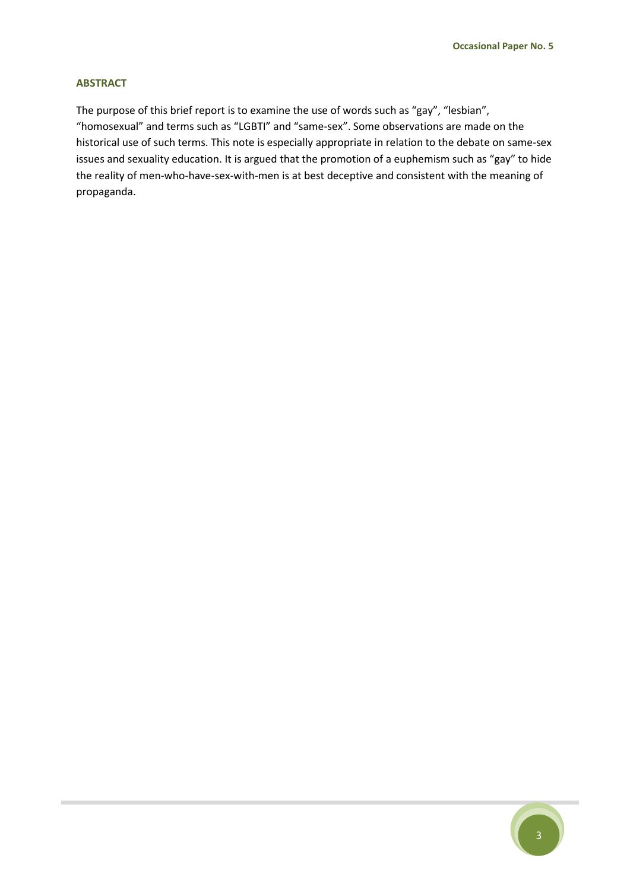#### **ABSTRACT**

The purpose of this brief report is to examine the use of words such as "gay", "lesbian", "homosexual" and terms such as "LGBTI" and "same-sex". Some observations are made on the historical use of such terms. This note is especially appropriate in relation to the debate on same-sex issues and sexuality education. It is argued that the promotion of a euphemism such as "gay" to hide the reality of men-who-have-sex-with-men is at best deceptive and consistent with the meaning of propaganda.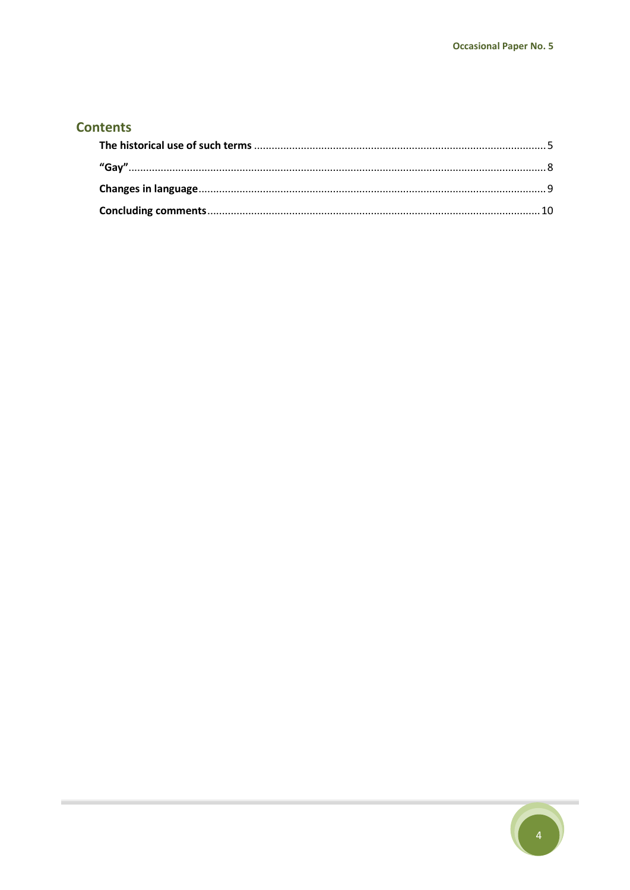## **Contents**

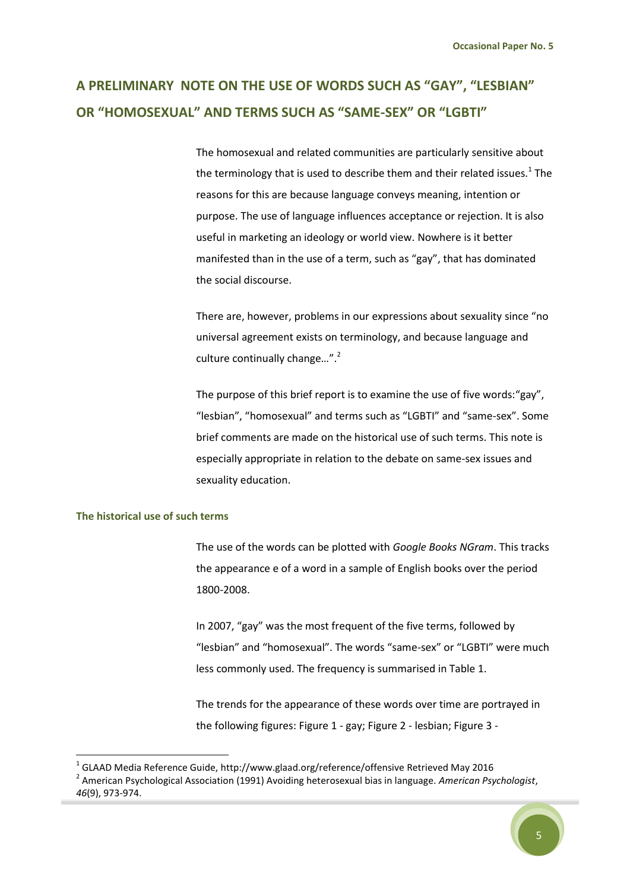# **A PRELIMINARY NOTE ON THE USE OF WORDS SUCH AS "GAY", "LESBIAN" OR "HOMOSEXUAL" AND TERMS SUCH AS "SAME-SEX" OR "LGBTI"**

The homosexual and related communities are particularly sensitive about the terminology that is used to describe them and their related issues.<sup>1</sup> The reasons for this are because language conveys meaning, intention or purpose. The use of language influences acceptance or rejection. It is also useful in marketing an ideology or world view. Nowhere is it better manifested than in the use of a term, such as "gay", that has dominated the social discourse.

There are, however, problems in our expressions about sexuality since "no universal agreement exists on terminology, and because language and culture continually change...".<sup>2</sup>

The purpose of this brief report is to examine the use of five words:"gay", "lesbian", "homosexual" and terms such as "LGBTI" and "same-sex". Some brief comments are made on the historical use of such terms. This note is especially appropriate in relation to the debate on same-sex issues and sexuality education.

#### <span id="page-4-0"></span>**The historical use of such terms**

**.** 

The use of the words can be plotted with *Google Books NGram*. This tracks the appearance e of a word in a sample of English books over the period 1800-2008.

In 2007, "gay" was the most frequent of the five terms, followed by "lesbian" and "homosexual". The words "same-sex" or "LGBTI" were much less commonly used. The frequency is summarised in Table 1.

The trends for the appearance of these words over time are portrayed in the following figures: Figure 1 - gay; Figure 2 - lesbian; Figure 3 -

 $^{1}$  GLAAD Media Reference Guide, http://www.glaad.org/reference/offensive Retrieved May 2016 2 American Psychological Association (1991) Avoiding heterosexual bias in language. *American Psychologist*, *46*(9), 973-974.

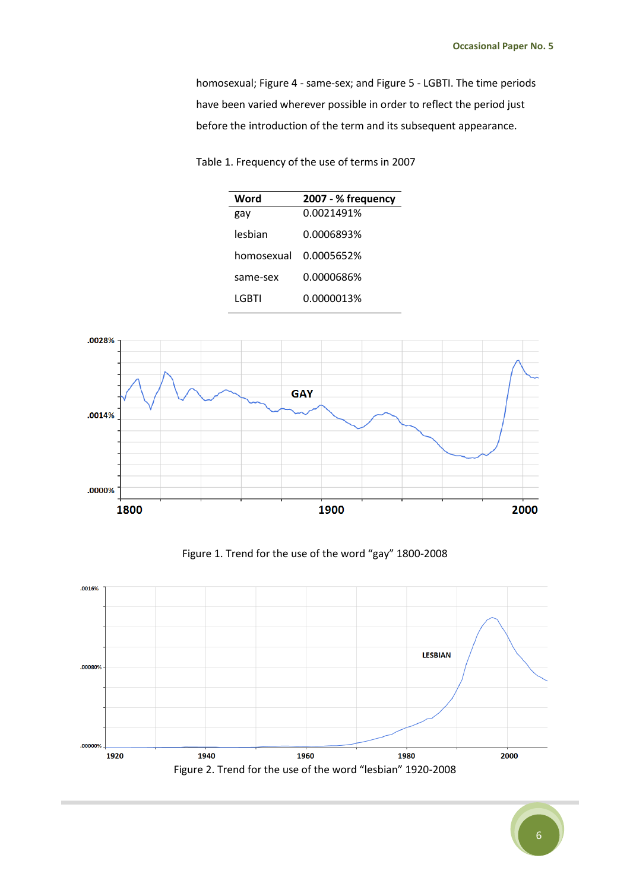homosexual; Figure 4 - same-sex; and Figure 5 - LGBTI. The time periods have been varied wherever possible in order to reflect the period just before the introduction of the term and its subsequent appearance.

| Word       | 2007 - % frequency |
|------------|--------------------|
| gay        | 0.0021491%         |
| lesbian    | 0.0006893%         |
| homosexual | 0.0005652%         |
| same-sex   | 0.0000686%         |
| LGBTI      | 0.0000013%         |

Table 1. Frequency of the use of terms in 2007



Figure 1. Trend for the use of the word "gay" 1800-2008



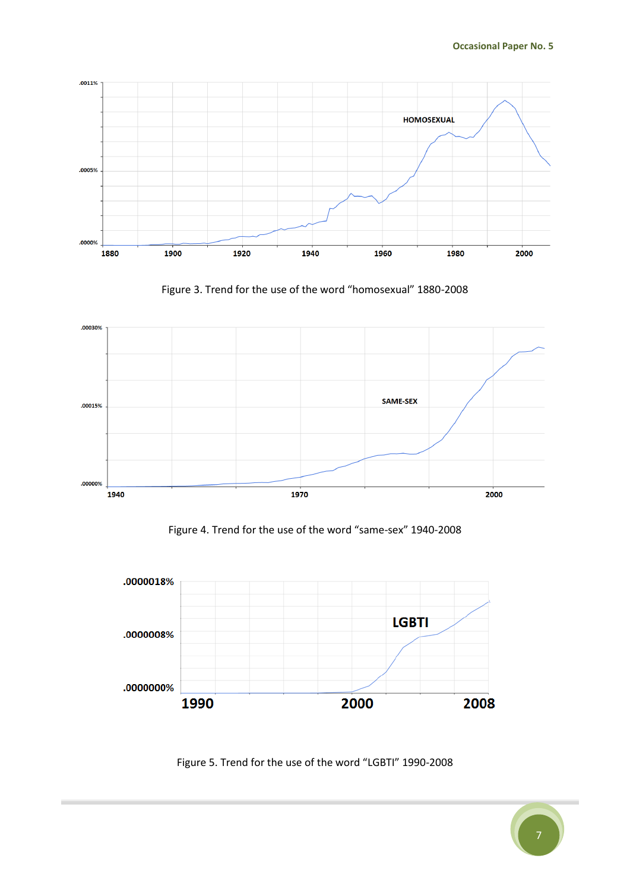

Figure 3. Trend for the use of the word "homosexual" 1880-2008



Figure 4. Trend for the use of the word "same-sex" 1940-2008



Figure 5. Trend for the use of the word "LGBTI" 1990-2008

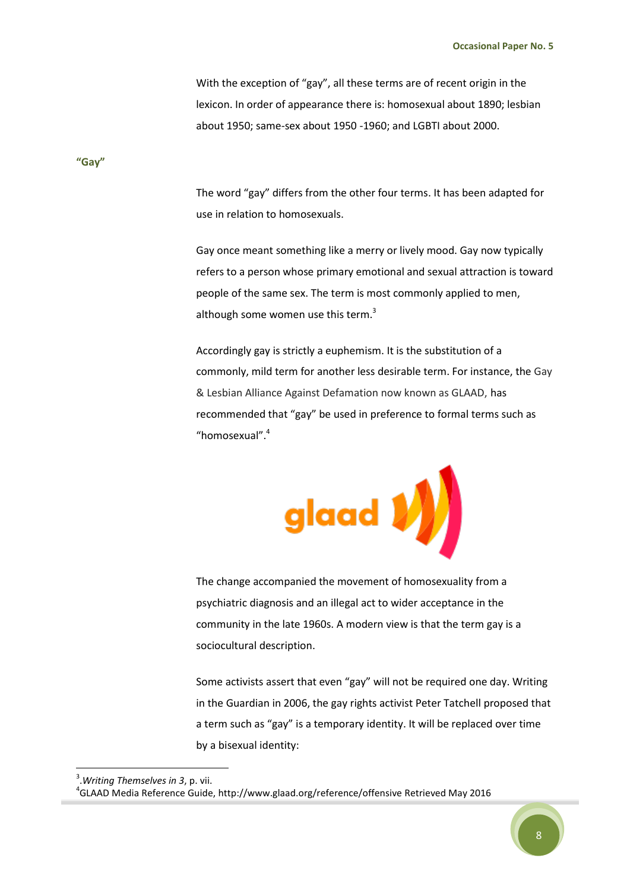With the exception of "gay", all these terms are of recent origin in the lexicon. In order of appearance there is: homosexual about 1890; lesbian about 1950; same-sex about 1950 -1960; and LGBTI about 2000.

<span id="page-7-0"></span>**"Gay"**

The word "gay" differs from the other four terms. It has been adapted for use in relation to homosexuals.

Gay once meant something like a merry or lively mood. Gay now typically refers to a person whose primary emotional and sexual attraction is toward people of the same sex. The term is most commonly applied to men, although some women use this term.<sup>3</sup>

Accordingly gay is strictly a euphemism. It is the substitution of a commonly, mild term for another less desirable term. For instance, the Gay & Lesbian Alliance Against Defamation now known as GLAAD, has recommended that "gay" be used in preference to formal terms such as "homosexual".<sup>4</sup>



The change accompanied the movement of homosexuality from a psychiatric diagnosis and an illegal act to wider acceptance in the community in the late 1960s. A modern view is that the term gay is a sociocultural description.

Some activists assert that even "gay" will not be required one day. Writing in the Guardian in 2006, the gay rights activist Peter Tatchell proposed that a term such as "gay" is a temporary identity. It will be replaced over time by a bisexual identity:

1

 $^4$ GLAAD Media Reference Guide, http://www.glaad.org/reference/offensive Retrieved May 2016



<sup>3</sup> .*Writing Themselves in 3*, p. vii.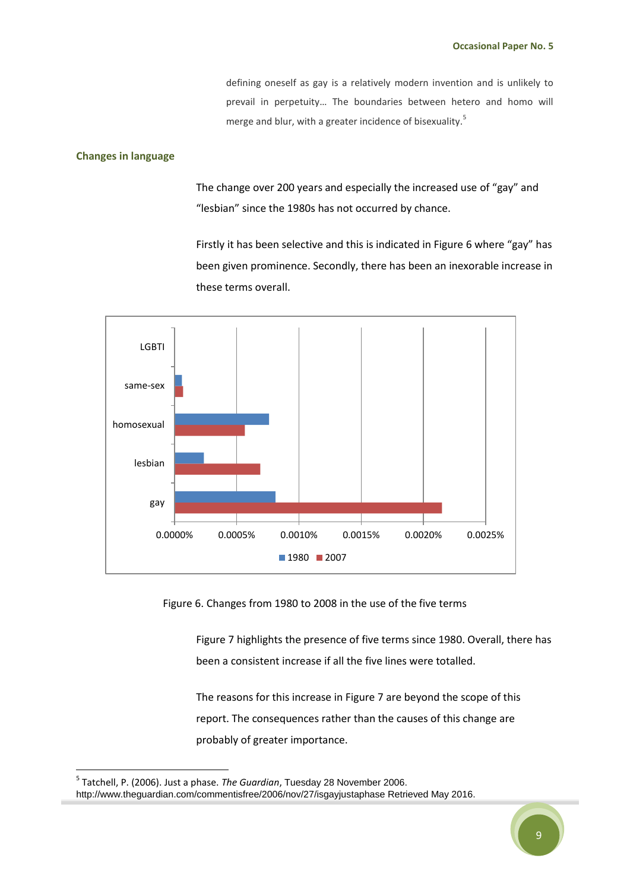defining oneself as gay is a relatively modern invention and is unlikely to prevail in perpetuity… The boundaries between hetero and homo will merge and blur, with a greater incidence of bisexuality. 5

#### <span id="page-8-0"></span>**Changes in language**

**.** 

The change over 200 years and especially the increased use of "gay" and "lesbian" since the 1980s has not occurred by chance.

Firstly it has been selective and this is indicated in Figure 6 where "gay" has been given prominence. Secondly, there has been an inexorable increase in these terms overall.



Figure 6. Changes from 1980 to 2008 in the use of the five terms

Figure 7 highlights the presence of five terms since 1980. Overall, there has been a consistent increase if all the five lines were totalled.

The reasons for this increase in Figure 7 are beyond the scope of this report. The consequences rather than the causes of this change are probably of greater importance.

<sup>5</sup> Tatchell, P. (2006). Just a phase. *The Guardian*, Tuesday 28 November 2006. http://www.theguardian.com/commentisfree/2006/nov/27/isgayjustaphase Retrieved May 2016.

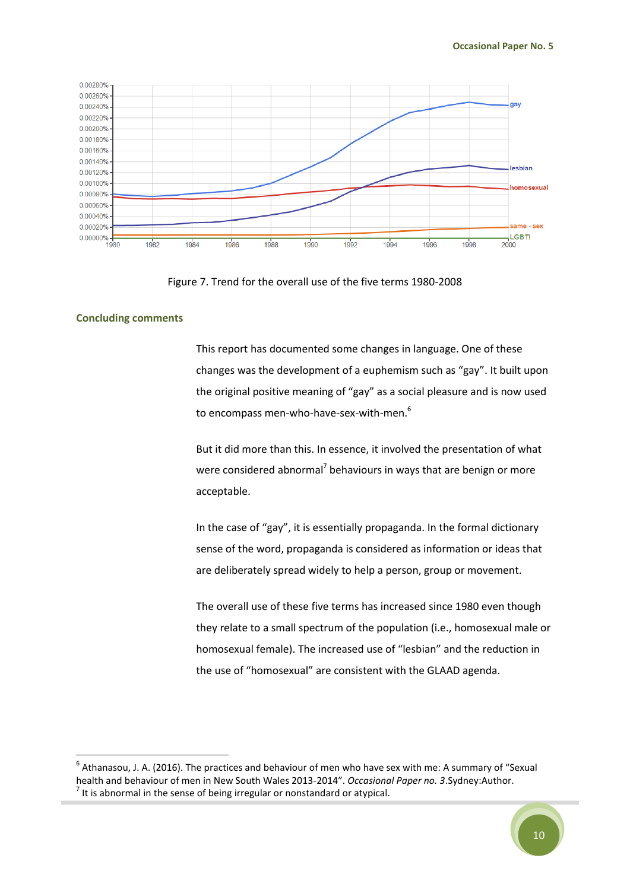

Figure 7. Trend for the overall use of the five terms 1980-2008

#### <span id="page-9-0"></span>**Concluding comments**

**.** 

This report has documented some changes in language. One of these changes was the development of a euphemism such as "gay". It built upon the original positive meaning of "gay" as a social pleasure and is now used to encompass men-who-have-sex-with-men.<sup>6</sup>

But it did more than this. In essence, it involved the presentation of what were considered abnormal<sup>7</sup> behaviours in ways that are benign or more acceptable.

In the case of "gay", it is essentially propaganda. In the formal dictionary sense of the word, propaganda is considered as information or ideas that are deliberately spread widely to help a person, group or movement.

The overall use of these five terms has increased since 1980 even though they relate to a small spectrum of the population (i.e., homosexual male or homosexual female). The increased use of "lesbian" and the reduction in the use of "homosexual" are consistent with the GLAAD agenda.

 $<sup>6</sup>$  Athanasou, J. A. (2016). The practices and behaviour of men who have sex with me: A summary of "Sexual</sup> health and behaviour of men in New South Wales 2013-2014". *Occasional Paper no. 3*.Sydney:Author.  $<sup>7</sup>$  It is abnormal in the sense of being irregular or nonstandard or atypical.</sup>

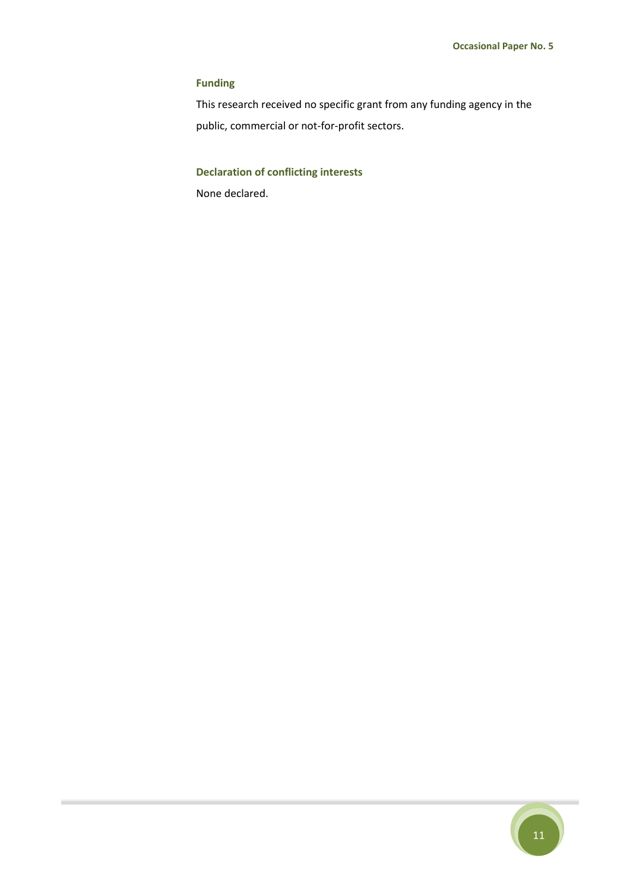#### **Funding**

This research received no specific grant from any funding agency in the public, commercial or not-for-profit sectors.

### **Declaration of conflicting interests**

None declared.

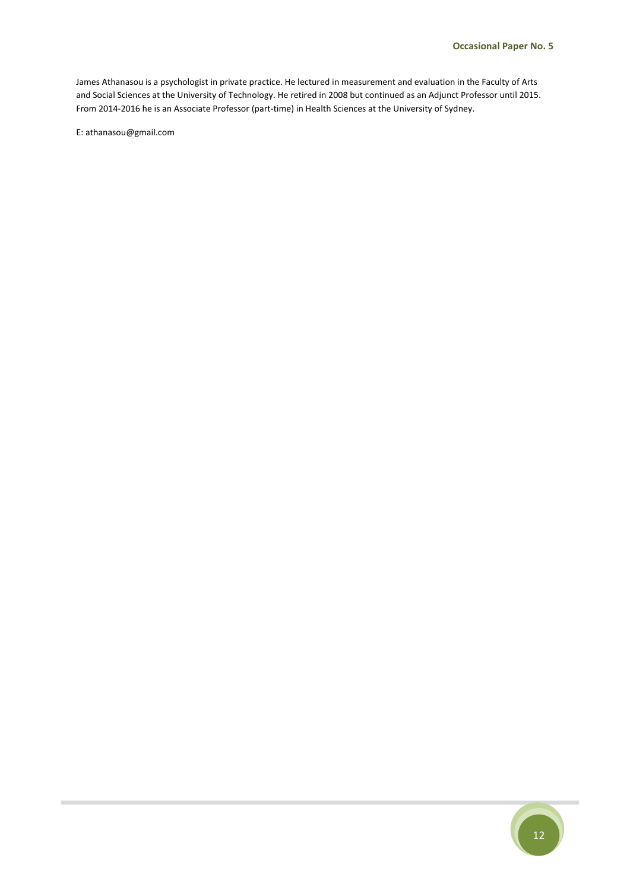James Athanasou is a psychologist in private practice. He lectured in measurement and evaluation in the Faculty of Arts and Social Sciences at the University of Technology. He retired in 2008 but continued as an Adjunct Professor until 2015. From 2014-2016 he is an Associate Professor (part-time) in Health Sciences at the University of Sydney.

E: athanasou@gmail.com